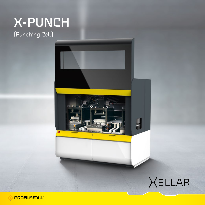# **-PUNCH**

(Punching Cell)





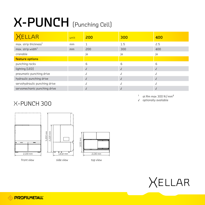## **-PUNCH** (Punching Cell)

| Xellar                            | unit | 200 | 300 | 400        |
|-----------------------------------|------|-----|-----|------------|
| max. strip thickness <sup>1</sup> | mm   |     | 1.5 | 2.5        |
| max. strip width <sup>1</sup>     | mm   | 200 | 300 | 400        |
| cranable                          |      | ja  | jα  | ja         |
| feature options                   |      |     |     |            |
| punching racks                    |      | 6   | 6   | ค          |
| lighting (LED)                    |      |     |     | $\sqrt{ }$ |
| pneumatic punching drive          |      |     |     |            |
| hydraulic punching drive          |      |     |     | $\sqrt{ }$ |
| servohydraulic punching drive     |      |     |     |            |
| servomechanic punching drive      |      |     |     | $\sqrt{ }$ |

 $^1$  at Rm max 300 N/mm<sup>2</sup>

 $J$  optionally available

#### X-PUNCH 300



1,632 mm 3,200 mm 2,220 mm  $\frac{2,130 \text{ mm}}{2,130 \text{ mm}}$ 

front view side view top view



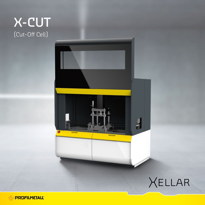### **-CUT** (Cut-Off Cell)





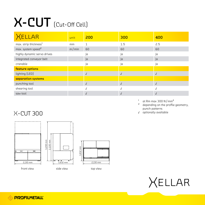## **-CUT** (Cut-Off Cell)

| Xellar                            | unit  | 200        | 300        | 400        |
|-----------------------------------|-------|------------|------------|------------|
| max. strip thickness <sup>1</sup> | mm    |            | 1.5        | 2.5        |
| max. system speed <sup>2</sup>    | m/min | 60         | 60         | 60         |
| highly dynamic servo drives       |       | ja         | ja         | ja         |
| integrated conveyor belt          |       | ja         | ja         | ja         |
| cranable                          |       | ja         | ja         | ja         |
| feature options                   |       |            |            |            |
| lighting (LED)                    |       | $\sqrt{ }$ | $\sqrt{ }$ |            |
| separation systems                |       |            |            |            |
| punching tool                     |       | $\sqrt{ }$ | $\sqrt{ }$ | $\sqrt{ }$ |
| shearing tool                     |       |            |            |            |
| saw tool                          |       | $\sqrt{ }$ | $\sqrt{ }$ | $\sqrt{ }$ |

- $\frac{1}{2}$  at Rm max 300 N/mm<sup>2</sup>
- depending on the profile geometry, punch patterns<br>√ optionally available
- 

#### optionally available X-CUT 300





![](_page_3_Figure_10.jpeg)

front view side view top view

![](_page_3_Picture_12.jpeg)

![](_page_3_Picture_13.jpeg)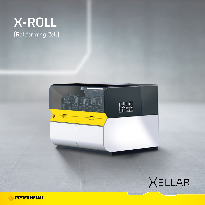### **-ROLL** (Rollforming Cell)

![](_page_4_Picture_1.jpeg)

![](_page_4_Picture_2.jpeg)

![](_page_4_Picture_3.jpeg)